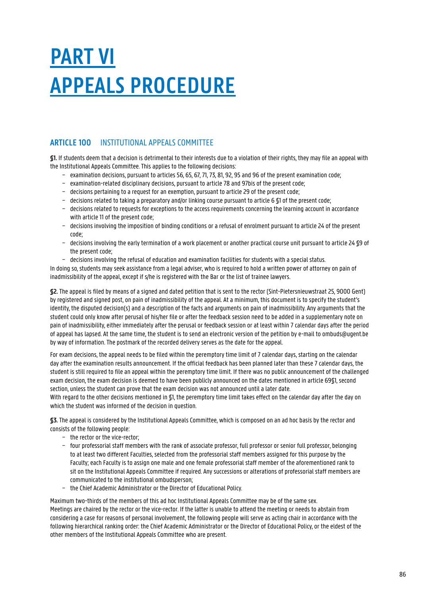## **PART VI APPEALS PROCEDURE**

## **ARTICLE 100** INSTITUTIONAL APPEALS COMMITTEE

**§1.** If students deem that a decision is detrimental to their interests due to a violation of their rights, they may file an appeal with the Institutional Appeals Committee. This applies to the following decisions:

- − examination decisions, pursuant to articles 56, 65, 67, 71, 73, 81, 92, 95 and 96 of the present examination code;
- − examination-related disciplinary decisions, pursuant to article 78 and 97bis of the present code;
- − decisions pertaining to a request for an exemption, pursuant to article 29 of the present code;
- − decisions related to taking a preparatory and/or linking course pursuant to article 6 §1 of the present code;
- − decisions related to requests for exceptions to the access requirements concerning the learning account in accordance with article 11 of the present code;
- − decisions involving the imposition of binding conditions or a refusal of enrolment pursuant to article 24 of the present code;
- − decisions involving the early termination of a work placement or another practical course unit pursuant to article 24 §9 of the present code;
- − decisions involving the refusal of education and examination facilities for students with a special status.

In doing so, students may seek assistance from a legal adviser, who is required to hold a written power of attorney on pain of inadmissibility of the appeal, except if s/he is registered with the Bar or the list of trainee lawyers.

**§2.** The appeal is filed by means of a signed and dated petition that is sent to the rector (Sint-Pietersnieuwstraat 25, 9000 Gent) by registered and signed post, on pain of inadmissibility of the appeal. At a minimum, this document is to specify the student's identity, the disputed decision(s) and a description of the facts and arguments on pain of inadmissibility. Any arguments that the student could only know after perusal of his/her file or after the feedback session need to be added in a supplementary note on pain of inadmissibility, either immediately after the perusal or feedback session or at least within 7 calendar days after the period of appeal has lapsed. At the same time, the student is to send an electronic version of the petition by e-mail to ombuds@ugent.be by way of information. The postmark of the recorded delivery serves as the date for the appeal.

For exam decisions, the appeal needs to be filed within the peremptory time limit of 7 calendar days, starting on the calendar day after the examination results announcement. If the official feedback has been planned later than these 7 calendar days, the student is still required to file an appeal within the peremptory time limit. If there was no public announcement of the challenged exam decision, the exam decision is deemed to have been publicly announced on the dates mentioned in article 69§1, second section, unless the student can prove that the exam decision was not announced until a later date.

With regard to the other decisions mentioned in \$1, the peremptory time limit takes effect on the calendar day after the day on which the student was informed of the decision in question.

**§3.** The appeal is considered by the Institutional Appeals Committee, which is composed on an ad hoc basis by the rector and consists of the following people:

- − the rector or the vice-rector;
- − four professorial staff members with the rank of associate professor, full professor or senior full professor, belonging to at least two different Faculties, selected from the professorial staff members assigned for this purpose by the Faculty; each Faculty is to assign one male and one female professorial staff member of the aforementioned rank to sit on the Institutional Appeals Committee if required. Any successions or alterations of professorial staff members are communicated to the institutional ombudsperson;
- − the Chief Academic Administrator or the Director of Educational Policy.

Maximum two-thirds of the members of this ad hoc Institutional Appeals Committee may be of the same sex. Meetings are chaired by the rector or the vice-rector. If the latter is unable to attend the meeting or needs to abstain from considering a case for reasons of personal involvement, the following people will serve as acting chair in accordance with the following hierarchical ranking order: the Chief Academic Administrator or the Director of Educational Policy, or the eldest of the other members of the Institutional Appeals Committee who are present.